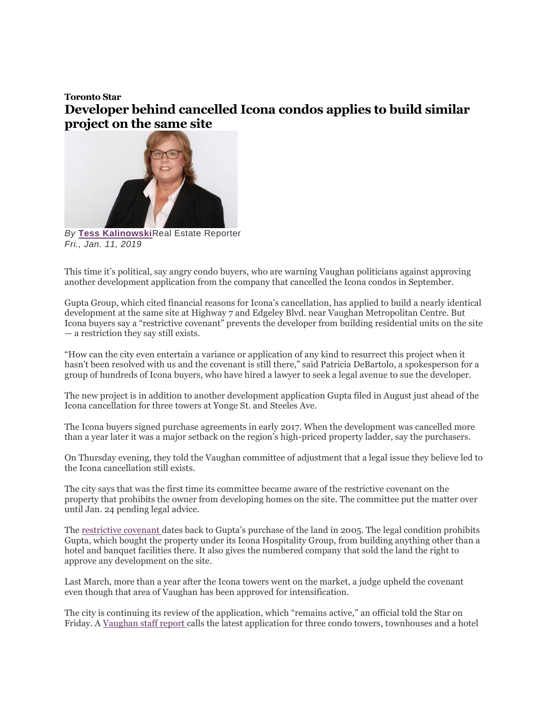## **Toronto Star Developer behind cancelled Icona condos applies to build similar project on the same site**



*By* **[Tess Kalinowski](https://www.thestar.com/authors.kalinowski_tess.html)**Real Estate Reporter *Fri., Jan. 11, 2019*

This time it's political, say angry condo buyers, who are warning Vaughan politicians against approving another development application from the company that cancelled the Icona condos in September.

Gupta Group, which cited financial reasons for Icona's cancellation, has applied to build a nearly identical development at the same site at Highway 7 and Edgeley Blvd. near Vaughan Metropolitan Centre. But Icona buyers say a "restrictive covenant" prevents the developer from building residential units on the site — a restriction they say still exists.

"How can the city even entertain a variance or application of any kind to resurrect this project when it hasn't been resolved with us and the covenant is still there," said Patricia DeBartolo, a spokesperson for a group of hundreds of Icona buyers, who have hired a lawyer to seek a legal avenue to sue the developer.

The new project is in addition to another development application Gupta filed in August just ahead of the Icona cancellation for three towers at Yonge St. and Steeles Ave.

The Icona buyers signed purchase agreements in early 2017. When the development was cancelled more than a year later it was a major setback on the region's high-priced property ladder, say the purchasers.

On Thursday evening, they told the Vaughan committee of adjustment that a legal issue they believe led to the Icona cancellation still exists.

The city says that was the first time its committee became aware of the restrictive covenant on the property that prohibits the owner from developing homes on the site. The committee put the matter over until Jan. 24 pending legal advice.

The [restrictive covenant](https://www.thestar.com/business/2018/09/26/vaughan-condo-buyers-ask-ontarios-home-warranty-corporation-to-investigate-developer.html) dates back to Gupta's purchase of the land in 2005. The legal condition prohibits Gupta, which bought the property under its Icona Hospitality Group, from building anything other than a hotel and banquet facilities there. It also gives the numbered company that sold the land the right to approve any development on the site.

Last March, more than a year after the Icona towers went on the market, a judge upheld the covenant even though that area of Vaughan has been approved for intensification.

The city is continuing its review of the application, which "remains active," an official told the Star on Friday. A [Vaughan staff report](http://www.vaughan.ca/services/business/commitee_of_adjustment/General%20Documents/AGENDAS/2019%20Meeting%20Agenda%20and%20Staff%20Reports/01%20-%20January%2010,%202019/09%20-%20A136-18%20-%20Staff%20Report%20-%20(3201%20Highway%207,%20Concord).pdf?fbclid=IwAR06IoNkQz-7REx99rC_FpF9N1KyHZhMwVgm7dDdZX1pFQSRkUUEFzaQlzU) calls the latest application for three condo towers, townhouses and a hotel